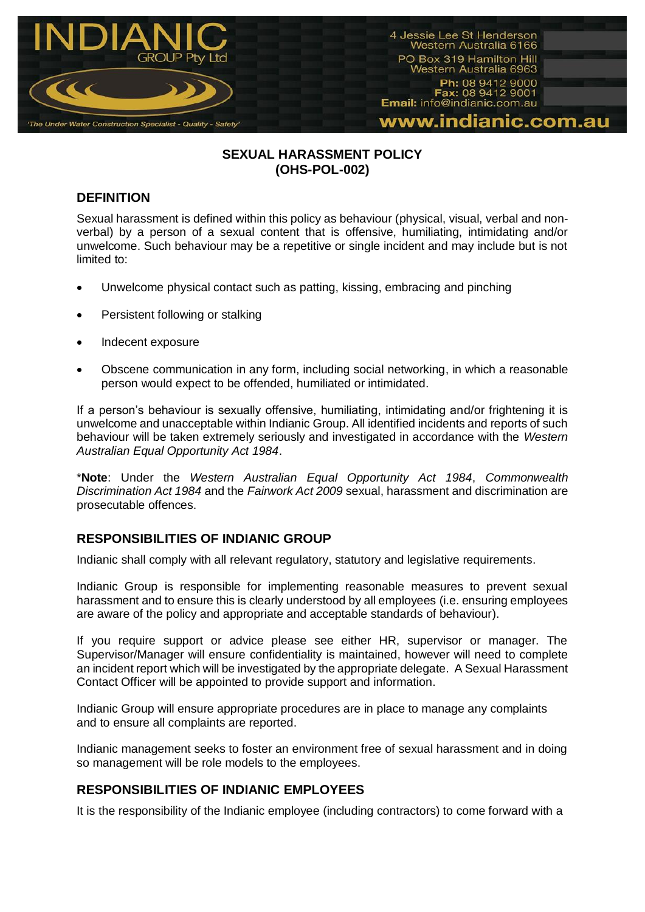

## **SEXUAL HARASSMENT POLICY (OHS-POL-002)**

# **DEFINITION**

Sexual harassment is defined within this policy as behaviour (physical, visual, verbal and nonverbal) by a person of a sexual content that is offensive, humiliating, intimidating and/or unwelcome. Such behaviour may be a repetitive or single incident and may include but is not limited to:

- Unwelcome physical contact such as patting, kissing, embracing and pinching
- Persistent following or stalking
- Indecent exposure
- Obscene communication in any form, including social networking, in which a reasonable person would expect to be offended, humiliated or intimidated.

If a person's behaviour is sexually offensive, humiliating, intimidating and/or frightening it is unwelcome and unacceptable within Indianic Group. All identified incidents and reports of such behaviour will be taken extremely seriously and investigated in accordance with the *Western Australian Equal Opportunity Act 1984*.

\***Note**: Under the *Western Australian Equal Opportunity Act 1984*, *Commonwealth Discrimination Act 1984* and the *Fairwork Act 2009* sexual, harassment and discrimination are prosecutable offences.

# **RESPONSIBILITIES OF INDIANIC GROUP**

Indianic shall comply with all relevant regulatory, statutory and legislative requirements.

Indianic Group is responsible for implementing reasonable measures to prevent sexual harassment and to ensure this is clearly understood by all employees (i.e. ensuring employees are aware of the policy and appropriate and acceptable standards of behaviour).

If you require support or advice please see either HR, supervisor or manager. The Supervisor/Manager will ensure confidentiality is maintained, however will need to complete an incident report which will be investigated by the appropriate delegate. A Sexual Harassment Contact Officer will be appointed to provide support and information.

Indianic Group will ensure appropriate procedures are in place to manage any complaints and to ensure all complaints are reported.

Indianic management seeks to foster an environment free of sexual harassment and in doing so management will be role models to the employees.

# **RESPONSIBILITIES OF INDIANIC EMPLOYEES**

It is the responsibility of the Indianic employee (including contractors) to come forward with a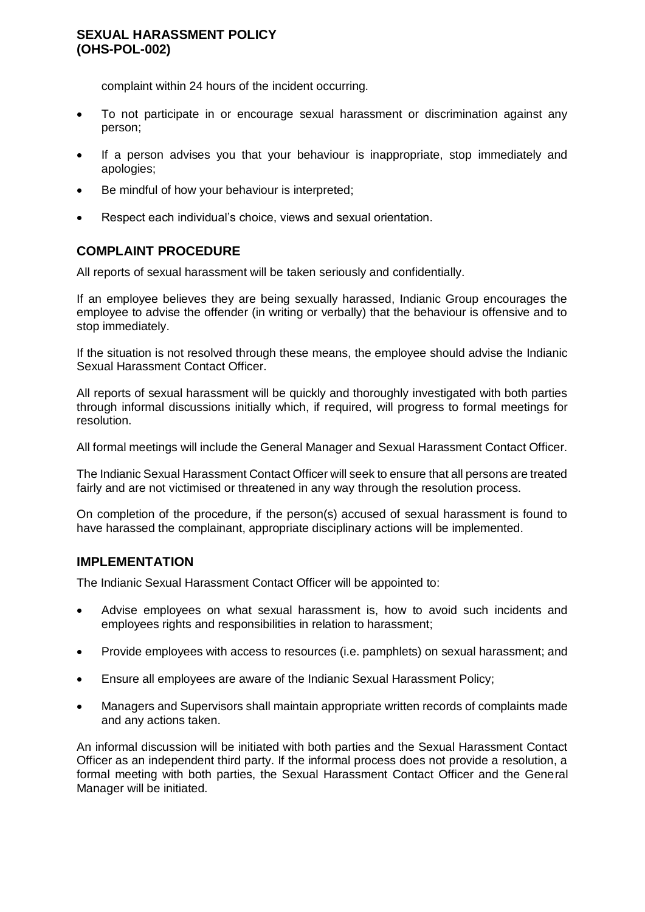## **SEXUAL HARASSMENT POLICY (OHS-POL-002)**

complaint within 24 hours of the incident occurring.

- To not participate in or encourage sexual harassment or discrimination against any person;
- If a person advises you that your behaviour is inappropriate, stop immediately and apologies;
- Be mindful of how your behaviour is interpreted;
- Respect each individual's choice, views and sexual orientation.

## **COMPLAINT PROCEDURE**

All reports of sexual harassment will be taken seriously and confidentially.

If an employee believes they are being sexually harassed, Indianic Group encourages the employee to advise the offender (in writing or verbally) that the behaviour is offensive and to stop immediately.

If the situation is not resolved through these means, the employee should advise the Indianic Sexual Harassment Contact Officer.

All reports of sexual harassment will be quickly and thoroughly investigated with both parties through informal discussions initially which, if required, will progress to formal meetings for resolution.

All formal meetings will include the General Manager and Sexual Harassment Contact Officer.

The Indianic Sexual Harassment Contact Officer will seek to ensure that all persons are treated fairly and are not victimised or threatened in any way through the resolution process.

On completion of the procedure, if the person(s) accused of sexual harassment is found to have harassed the complainant, appropriate disciplinary actions will be implemented.

## **IMPLEMENTATION**

The Indianic Sexual Harassment Contact Officer will be appointed to:

- Advise employees on what sexual harassment is, how to avoid such incidents and employees rights and responsibilities in relation to harassment;
- Provide employees with access to resources (i.e. pamphlets) on sexual harassment; and
- Ensure all employees are aware of the Indianic Sexual Harassment Policy;
- Managers and Supervisors shall maintain appropriate written records of complaints made and any actions taken.

An informal discussion will be initiated with both parties and the Sexual Harassment Contact Officer as an independent third party. If the informal process does not provide a resolution, a formal meeting with both parties, the Sexual Harassment Contact Officer and the General Manager will be initiated.